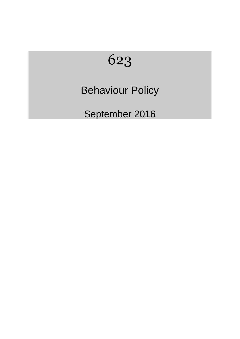# 623

## Behaviour Policy

September 2016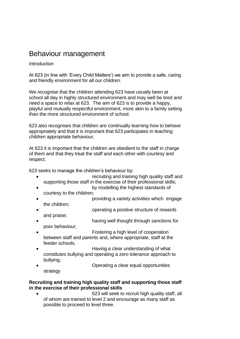### Behaviour management

Introduction

At 623 (in line with 'Every Child Matters') we aim to provide a safe, caring and friendly environment for all our children.

We recognise that the children attending 623 have usually been at school all day in highly structured environment and may well be tired and need a space to relax at 623. The aim of 623 is to provide a happy, playful and mutually respectful environment, more akin to a family setting than the more structured environment of school.

623 also recognises that children are continually learning how to behave appropriately and that it is important that 623 participates in teaching children appropriate behaviour.

At 623 it is important that the children are obedient to the staff in charge of them and that they treat the staff and each other with courtesy and respect.

623 seeks to manage the children's behaviour by:

- recruiting and training high quality staff and supporting those staff in the exercise of their professional skills;
- by modelling the highest standards of courtesy to the children;
- providing a variety activities which engage the children;
- operating a positive structure of rewards and praise;
- having well thought through sanctions for poor behaviour;
- Fostering a high level of cooperation between staff and parents and, where appropriate, staff at the feeder schools.
- Having a clear understanding of what constitutes bullying and operating a zero tolerance approach to bullying;
- Operating a clear equal opportunities

strategy

#### **Recruiting and training high quality staff and supporting those staff in the exercise of their professional skills**

• 623 will seek to recruit high quality staff, all of whom are trained to level 2 and encourage as many staff as possible to proceed to level three.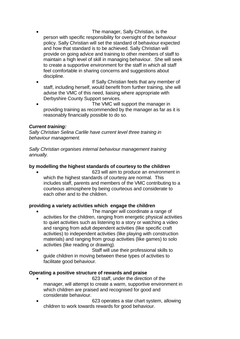- The manager, Sally Christian, is the person with specific responsibility for oversight of the behaviour policy. Sally Christian will set the standard of behaviour expected and how that standard is to be achieved. Sally Christian will provide on going advice and training to other members of staff to maintain a high level of skill in managing behaviour. She will seek to create a supportive environment for the staff in which all staff feel comfortable in sharing concerns and suggestions about discipline.
- If Sally Christian feels that any member of staff, including herself, would benefit from further training, she will advise the VMC of this need, liaising where appropriate with Derbyshire County Support services.
- The VMC will support the manager in providing training as recommended by the manager as far as it is reasonably financially possible to do so.

#### *Current training:*

*Sally Christian Selina Carlile have current level three training in behaviour management.*

*Sally Christian organises internal behaviour management training annually.*

#### **by modelling the highest standards of courtesy to the children**

• 623 will aim to produce an environment in which the highest standards of courtesy are normal. This includes staff, parents and members of the VMC contributing to a courteous atmosphere by being courteous and considerate to each other and to the children.

#### **providing a variety activities which engage the children**

- The manger will coordinate a range of activities for the children, ranging from energetic physical activities to quiet activities such as listening to a story or watching a video and ranging from adult dependent activities (like specific craft activities) to independent activities (like playing with construction materials) and ranging from group activities (like games) to solo activities (like reading or drawing).
- Staff will use their professional skills to guide children in moving between these types of activities to facilitate good behaviour.

#### **Operating a positive structure of rewards and praise**

- 623 staff, under the direction of the manager, will attempt to create a warm, supportive environment in which children are praised and recognised for good and considerate behaviour.
- 623 operates a star chart system, allowing children to work towards rewards for good behaviour.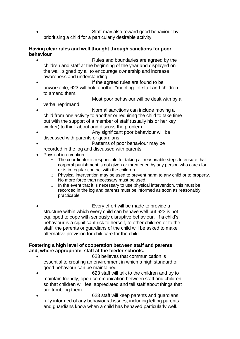• Staff may also reward good behaviour by prioritising a child for a particularly desirable activity.

#### **Having clear rules and well thought through sanctions for poor behaviour**

- Rules and boundaries are agreed by the children and staff at the beginning of the year and displayed on the wall, signed by all to encourage ownership and increase awareness and understanding.
- If the agreed rules are found to be unworkable, 623 will hold another "meeting" of staff and children to amend them.
- Most poor behaviour will be dealt with by a verbal reprimand.
	- Normal sanctions can include moving a child from one activity to another or requiring the child to take time out with the support of a member of staff (usually his or her key worker) to think about and discuss the problem.
- Any significant poor behaviour will be discussed with parents or guardians.
- Patterns of poor behaviour may be recorded in the log and discussed with parents.
- Physical intervention:
	- o The coordinator is responsible for taking all reasonable steps to ensure that corporal punishment is not given or threatened by any person who cares for or is in regular contact with the children.
	- $\circ$  Physical intervention may be used to prevent harm to any child or to property. No more force than necessary must be used.
	- $\circ$  In the event that it is necessary to use physical intervention, this must be recorded in the log and parents must be informed as soon as reasonably practicable
- Every effort will be made to provide a structure within which every child can behave well but 623 is not equipped to cope with seriously disruptive behaviour. If a child's behaviour is a significant risk to herself, to other children or to the staff, the parents or guardians of the child will be asked to make alternative provision for childcare for the child.

#### **Fostering a high level of cooperation between staff and parents and, where appropriate, staff at the feeder schools.**

- 623 believes that communication is essential to creating an environment in which a high standard of good behaviour can be maintained.
- 623 staff will talk to the children and try to maintain friendly, open communication between staff and children so that children will feel appreciated and tell staff about things that are troubling them.
- 623 staff will keep parents and guardians fully informed of any behavioural issues, including letting parents and guardians know when a child has behaved particularly well.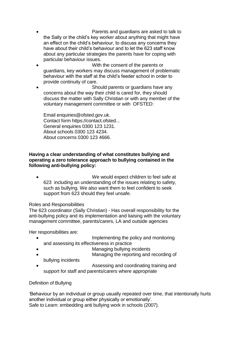- Parents and guardians are asked to talk to the Sally or the child's key worker about anything that might have an effect on the child's behaviour, to discuss any concerns they have about their child's behaviour and to let the 623 staff know about any particular strategies the parents have for coping with particular behaviour issues.
- With the consent of the parents or guardians, key workers may discuss management of problematic behaviour with the staff at the child's feeder school in order to provide continuity of care.
- Should parents or guardians have any concerns about the way their child is cared for, they should discuss the matter with Sally Christian or with any member of the voluntary management committee or with OFSTED:

Email enquiries@ofsted.gov.uk. Contact form https://contact.ofsted... General enquiries 0300 123 1231. About schools 0300 123 4234. About concerns 0300 123 4666.

#### **Having a clear understanding of what constitutes bullying and operating a zero tolerance approach to bullying contained in the following anti-bullying policy:**

We would expect children to feel safe at 623 including an understanding of the issues relating to safety, such as bullying. We also want them to feel confident to seek support from 623 should they feel unsafe.

#### Roles and Responsibilities

The 623 coordinator (Sally Christian) - Has overall responsibility for the anti-bullying policy and its implementation and liaising with the voluntary management committee, parents/carers, LA and outside agencies

Her responsibilities are:

- Implementing the policy and monitoring and assessing its effectiveness in practice
- Managing bullying incidents
- Managing the reporting and recording of bullying incidents

• Assessing and coordinating training and support for staff and parents/carers where appropriate

#### Definition of Bullying

'Behaviour by an individual or group usually repeated over time, that intentionally hurts another individual or group either physically or emotionally'. Safe to Learn: embedding anti bullying work in schools (2007).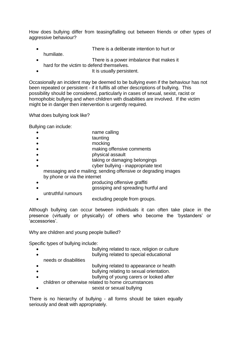How does bullying differ from teasing/falling out between friends or other types of aggressive behaviour?

- There is a deliberate intention to hurt or
- humiliate. There is a power imbalance that makes it
- hard for the victim to defend themselves.
	- It is usually persistent.

Occasionally an incident may be deemed to be bullying even if the behaviour has not been repeated or persistent - if it fulfils all other descriptions of bullying. This possibility should be considered, particularly in cases of sexual, sexist, racist or homophobic bullying and when children with disabilities are involved. If the victim might be in danger then intervention is urgently required.

What does bullying look like?

Bullying can include:

- name calling
- taunting
- mocking
- making offensive comments
- physical assault
- taking or damaging belongings
- cyber bullying inappropriate text

messaging and e mailing; sending offensive or degrading images by phone or via the internet

- producing offensive graffiti
- gossiping and spreading hurtful and
- untruthful rumours
	- excluding people from groups.

Although bullying can occur between individuals it can often take place in the presence (virtually or physically) of others who become the 'bystanders' or 'accessories'.

Why are children and young people bullied?

Specific types of bullying include:

- bullying related to race, religion or culture • bullying related to special educational
- needs or disabilities
- bullying related to appearance or health
	- bullying relating to sexual orientation.
- bullying of young carers or looked after
- children or otherwise related to home circumstances
- sexist or sexual bullying

There is no hierarchy of bullying - all forms should be taken equally seriously and dealt with appropriately.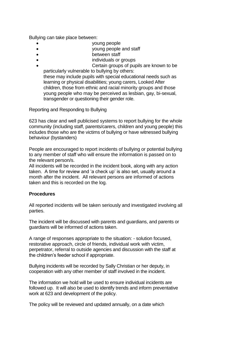Bullying can take place between:

- young people
- young people and staff
- **between staff**
- individuals or groups
- Certain groups of pupils are known to be particularly vulnerable to bullying by others:

these may include pupils with special educational needs such as learning or physical disabilities; young carers, Looked After children, those from ethnic and racial minority groups and those young people who may be perceived as lesbian, gay, bi-sexual, transgender or questioning their gender role.

Reporting and Responding to Bullying

623 has clear and well publicised systems to report bullying for the whole community (including staff, parents/carers, children and young people) this includes those who are the victims of bullying or have witnessed bullying behaviour (bystanders)

People are encouraged to report incidents of bullying or potential bullying to any member of staff who will ensure the information is passed on to the relevant person/s.

All incidents will be recorded in the incident book, along with any action taken. A time for review and 'a check up' is also set, usually around a month after the incident. All relevant persons are informed of actions taken and this is recorded on the log.

#### **Procedures**

All reported incidents will be taken seriously and investigated involving all parties.

The incident will be discussed with parents and guardians, and parents or guardians will be informed of actions taken.

A range of responses appropriate to the situation: - solution focused, restorative approach, circle of friends, individual work with victim, perpetrator, referral to outside agencies and discussion with the staff at the children's feeder school if appropriate.

Bullying incidents will be recorded by Sally Christian or her deputy, in cooperation with any other member of staff involved in the incident.

The information we hold will be used to ensure individual incidents are followed up. It will also be used to identify trends and inform preventative work at 623 and development of the policy.

The policy will be reviewed and updated annually, on a date which